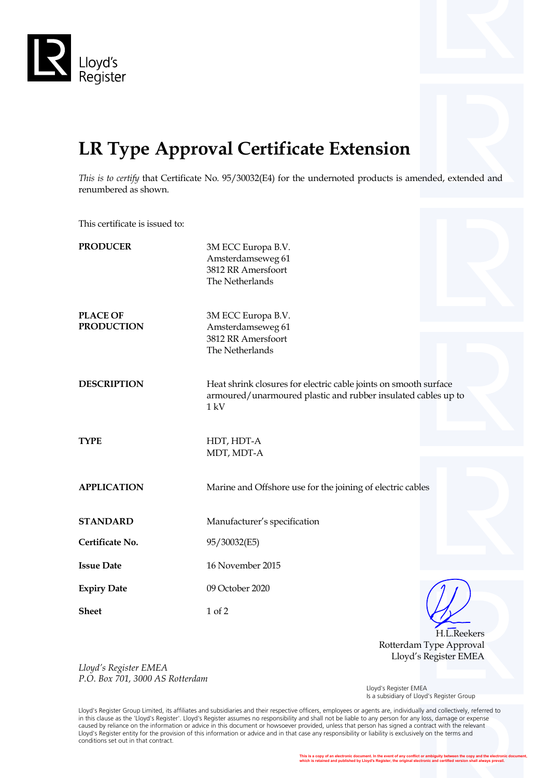



*This is to certify* that Certificate No. 95/30032(E4) for the undernoted products is amended, extended and renumbered as shown.

This certificate is issued to:

| <b>PRODUCER</b>                      | 3M ECC Europa B.V.<br>Amsterdamseweg 61<br>3812 RR Amersfoort<br>The Netherlands                                                          |  |
|--------------------------------------|-------------------------------------------------------------------------------------------------------------------------------------------|--|
| <b>PLACE OF</b><br><b>PRODUCTION</b> | 3M ECC Europa B.V.<br>Amsterdamseweg 61<br>3812 RR Amersfoort<br>The Netherlands                                                          |  |
| <b>DESCRIPTION</b>                   | Heat shrink closures for electric cable joints on smooth surface<br>armoured/unarmoured plastic and rubber insulated cables up to<br>1 kV |  |
| <b>TYPE</b>                          | HDT, HDT-A<br>MDT, MDT-A                                                                                                                  |  |
| <b>APPLICATION</b>                   | Marine and Offshore use for the joining of electric cables                                                                                |  |
| <b>STANDARD</b>                      | Manufacturer's specification                                                                                                              |  |
| Certificate No.                      | 95/30032(E5)                                                                                                                              |  |
| <b>Issue Date</b>                    | 16 November 2015                                                                                                                          |  |
| <b>Expiry Date</b>                   | 09 October 2020                                                                                                                           |  |
| <b>Sheet</b>                         | 1 of 2                                                                                                                                    |  |

H.L.Reekers Rotterdam Type Approval Lloyd's Register EMEA

*Lloyd's Register EMEA P.O. Box 701, 3000 AS Rotterdam*

 Lloyd's Register EMEA Is a subsidiary of Lloyd's Register Group

Lloyd's Register Group Limited, its affiliates and subsidiaries and their respective officers, employees or agents are, individually and collectively, referred to in this clause as the 'Lloyd's Register'. Lloyd's Register assumes no responsibility and shall not be liable to any person for any loss, damage or expense caused by reliance on the information or advice in this document or howsoever provided, unless that person has signed a contract with the relevant Lloyd's Register entity for the provision of this information or advice and in that case any responsibility or liability is exclusively on the terms and conditions set out in that contract.